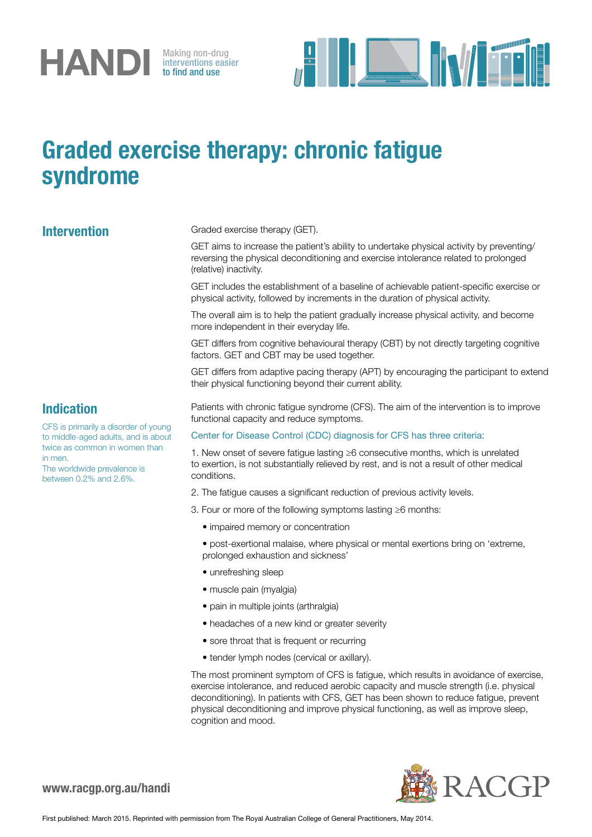

interventions easier to find and use



## Graded exercise therapy: chronic fatigue syndrome

Intervention Graded exercise therapy (GET).

GET aims to increase the patient's ability to undertake physical activity by preventing/ reversing the physical deconditioning and exercise intolerance related to prolonged (relative) inactivity.

GET includes the establishment of a baseline of achievable patient-specific exercise or physical activity, followed by increments in the duration of physical activity.

The overall aim is to help the patient gradually increase physical activity, and become more independent in their everyday life.

GET differs from cognitive behavioural therapy (CBT) by not directly targeting cognitive factors. GET and CBT may be used together.

GET differs from adaptive pacing therapy (APT) by encouraging the participant to extend their physical functioning beyond their current ability.

Patients with chronic fatigue syndrome (CFS). The aim of the intervention is to improve functional capacity and reduce symptoms.

Center for Disease Control (CDC) diagnosis for CFS has three criteria:

1. New onset of severe fatigue lasting ≥6 consecutive months, which is unrelated to exertion, is not substantially relieved by rest, and is not a result of other medical conditions.

- 2. The fatigue causes a significant reduction of previous activity levels.
- 3. Four or more of the following symptoms lasting ≥6 months:
	- impaired memory or concentration
	- post-exertional malaise, where physical or mental exertions bring on 'extreme, prolonged exhaustion and sickness'
	- unrefreshing sleep
	- muscle pain (myalgia)
	- pain in multiple joints (arthralgia)
	- headaches of a new kind or greater severity
	- sore throat that is frequent or recurring
	- tender lymph nodes (cervical or axillary).

The most prominent symptom of CFS is fatigue, which results in avoidance of exercise, exercise intolerance, and reduced aerobic capacity and muscle strength (i.e. physical deconditioning). In patients with CFS, GET has been shown to reduce fatigue, prevent physical deconditioning and improve physical functioning, as well as improve sleep, cognition and mood.



## Indication

CFS is primarily a disorder of young to middle-aged adults, and is about twice as common in women than in men.

The worldwide prevalence is between 0.2% and 2.6%.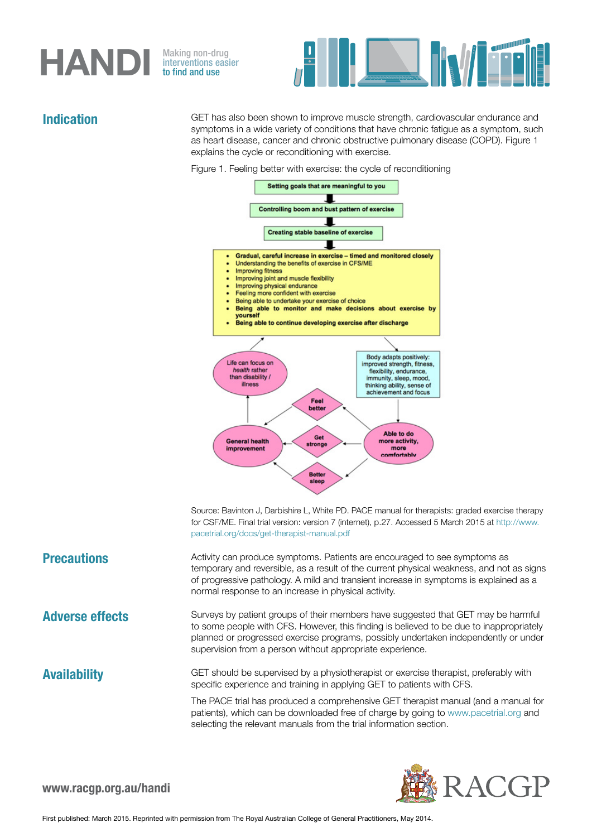# HANDI

interventions easier to find and use



Indication GET has also been shown to improve muscle strength, cardiovascular endurance and symptoms in a wide variety of conditions that have chronic fatigue as a symptom, such as heart disease, cancer and chronic obstructive pulmonary disease (COPD). Figure 1 explains the cycle or reconditioning with exercise.





Source: Bavinton J. Darbishire L. White PD. PACE manual for therapists: graded exercise therapy for CSF/ME. Final trial version: version 7 (internet), p.27. Accessed 5 March 2015 at http://www. pacetrial.org/docs/get-therapist-manual.pdf

**Precautions** Activity can produce symptoms. Patients are encouraged to see symptoms as temporary and reversible, as a result of the current physical weakness, and not as signs of progressive pathology. A mild and transient increase in symptoms is explained as a normal response to an increase in physical activity.

**Adverse effects** Surveys by patient groups of their members have suggested that GET may be harmful to some people with CFS. However, this finding is believed to be due to inappropriately planned or progressed exercise programs, possibly undertaken independently or under supervision from a person without appropriate experience.

**Availability** GET should be supervised by a physiotherapist or exercise therapist, preferably with specific experience and training in applying GET to patients with CFS.

> The PACE trial has produced a comprehensive GET therapist manual (and a manual for patients), which can be downloaded free of charge by going to www.pacetrial.org and selecting the relevant manuals from the trial information section.

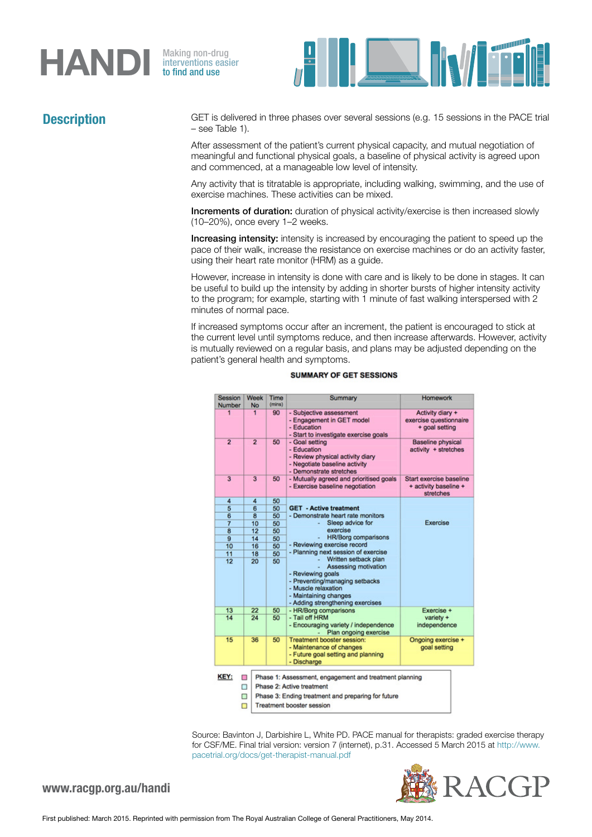# **HANDI** Making non-drug<br>to find and use

interventions easier to find and use



**Description** GET is delivered in three phases over several sessions (e.g. 15 sessions in the PACE trial – see Table 1).

> After assessment of the patient's current physical capacity, and mutual negotiation of meaningful and functional physical goals, a baseline of physical activity is agreed upon and commenced, at a manageable low level of intensity.

Any activity that is titratable is appropriate, including walking, swimming, and the use of exercise machines. These activities can be mixed.

Increments of duration: duration of physical activity/exercise is then increased slowly (10–20%), once every 1–2 weeks.

Increasing intensity: intensity is increased by encouraging the patient to speed up the pace of their walk, increase the resistance on exercise machines or do an activity faster, using their heart rate monitor (HRM) as a guide.

However, increase in intensity is done with care and is likely to be done in stages. It can be useful to build up the intensity by adding in shorter bursts of higher intensity activity to the program; for example, starting with 1 minute of fast walking interspersed with 2 minutes of normal pace.

If increased symptoms occur after an increment, the patient is encouraged to stick at the current level until symptoms reduce, and then increase afterwards. However, activity is mutually reviewed on a regular basis, and plans may be adjusted depending on the patient's general health and symptoms.

| Session<br><b>Number</b> | Week<br>No              | Time<br>(mins)                                                                                                                                                                | Summary                                                                                                                                                                                 | Homework                                                      |
|--------------------------|-------------------------|-------------------------------------------------------------------------------------------------------------------------------------------------------------------------------|-----------------------------------------------------------------------------------------------------------------------------------------------------------------------------------------|---------------------------------------------------------------|
| 1                        | 1                       | 90                                                                                                                                                                            | - Subjective assessment<br>- Engagement in GET model<br>- Education<br>- Start to investigate exercise goals                                                                            | Activity diary +<br>exercise questionnaire<br>+ goal setting  |
| $\overline{2}$           | $\overline{2}$          | 50                                                                                                                                                                            | - Goal setting<br>- Education<br>- Review physical activity diary<br>- Negotiate baseline activity<br>- Demonstrate stretches                                                           | <b>Baseline physical</b><br>activity + stretches              |
| 3                        | 3                       | 50                                                                                                                                                                            | - Mutually agreed and prioritised goals<br>- Exercise baseline negotiation                                                                                                              | Start exercise baseline<br>+ activity baseline +<br>stretches |
| 4                        | 4                       | 50                                                                                                                                                                            |                                                                                                                                                                                         |                                                               |
| 5                        | $\overline{\mathbf{6}}$ | 50                                                                                                                                                                            | <b>GET - Active treatment</b>                                                                                                                                                           |                                                               |
| 6                        | 8                       | 50                                                                                                                                                                            | - Demonstrate heart rate monitors                                                                                                                                                       |                                                               |
| $\overline{7}$           | 10                      | 50                                                                                                                                                                            | Sleep advice for                                                                                                                                                                        | Exercise                                                      |
| $\overline{\mathbf{8}}$  | 12                      | 50                                                                                                                                                                            | exercise                                                                                                                                                                                |                                                               |
| 9                        | 14                      | 50                                                                                                                                                                            | <b>HR/Borg comparisons</b>                                                                                                                                                              |                                                               |
| 10                       | 16                      | 50                                                                                                                                                                            | - Reviewing exercise record                                                                                                                                                             |                                                               |
| 11                       | 18                      | 50                                                                                                                                                                            | - Planning next session of exercise                                                                                                                                                     |                                                               |
| 12                       | 20                      | 50                                                                                                                                                                            | Written setback plan<br>Assessing motivation<br>- Reviewing goals<br>- Preventing/managing setbacks<br>- Muscle relaxation<br>- Maintaining changes<br>- Adding strengthening exercises |                                                               |
| 13                       | 22                      | 50                                                                                                                                                                            | - HR/Borg comparisons                                                                                                                                                                   | Exercise +                                                    |
| 14                       | 24                      | 50                                                                                                                                                                            | - Tail off HRM<br>- Encouraging variety / independence<br>Plan ongoing exercise                                                                                                         | variety +<br>independence                                     |
| 15                       | 36                      | 50                                                                                                                                                                            | <b>Treatment booster session:</b><br>- Maintenance of changes<br>- Future goal setting and planning<br>- Discharge                                                                      | Ongoing exercise +<br>goal setting                            |
| KEY:                     | П<br>Π<br>□<br>Π        | Phase 1: Assessment, engagement and treatment planning<br>Phase 2: Active treatment<br>Phase 3: Ending treatment and preparing for future<br><b>Treatment booster session</b> |                                                                                                                                                                                         |                                                               |

### **SUMMARY OF GET SESSIONS**

Source: Bavinton J, Darbishire L, White PD. PACE manual for therapists: graded exercise therapy for CSF/ME. Final trial version: version 7 (internet), p.31. Accessed 5 March 2015 at http://www. pacetrial.org/docs/get-therapist-manual.pdf